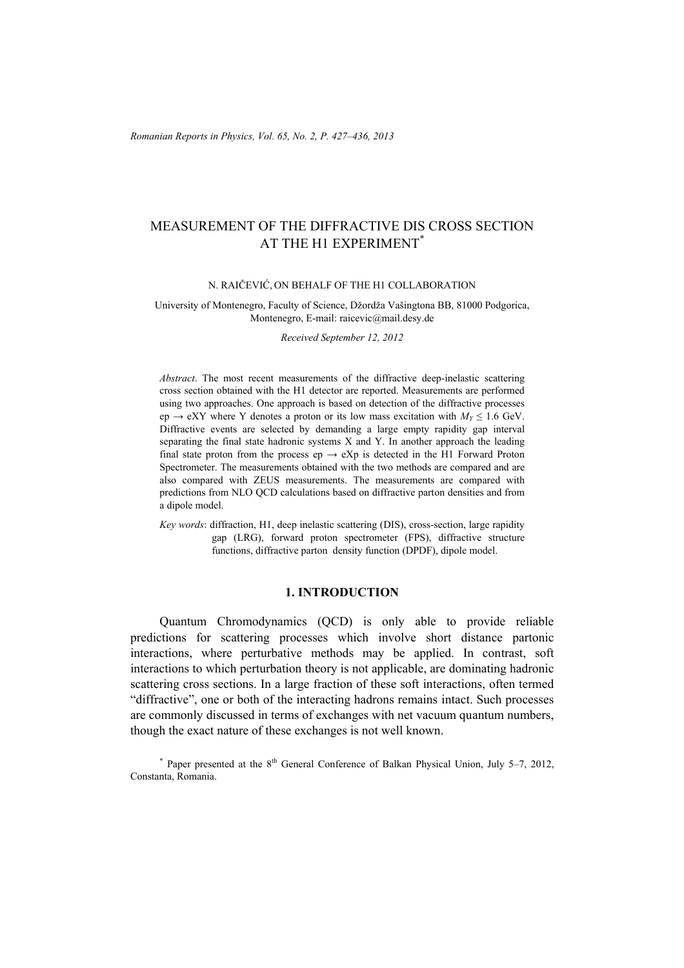# MEASUREMENT OF THE DIFFRACTIVE DIS CROSS SECTION AT THE H1 EXPERIMENT<sup>\*</sup>

## N. RAIČEVIĆ, ON BEHALF OF THE H1 COLLABORATION

#### University of Montenegro, Faculty of Science, Džordža Vašingtona BB, 81000 Podgorica, Montenegro, E-mail: raicevic@mail.desy.de

*Received September 12, 2012* 

*Abstract*. The most recent measurements of the diffractive deep-inelastic scattering cross section obtained with the H1 detector are reported. Measurements are performed using two approaches. One approach is based on detection of the diffractive processes ep  $\rightarrow$  eXY where Y denotes a proton or its low mass excitation with  $M_y \le 1.6$  GeV. Diffractive events are selected by demanding a large empty rapidity gap interval separating the final state hadronic systems X and Y. In another approach the leading final state proton from the process ep  $\rightarrow eXp$  is detected in the H1 Forward Proton Spectrometer. The measurements obtained with the two methods are compared and are also compared with ZEUS measurements. The measurements are compared with predictions from NLO QCD calculations based on diffractive parton densities and from a dipole model.

*Key words*: diffraction, H1, deep inelastic scattering (DIS), cross-section, large rapidity gap (LRG), forward proton spectrometer (FPS), diffractive structure functions, diffractive parton density function (DPDF), dipole model.

## **1. INTRODUCTION**

Quantum Chromodynamics (QCD) is only able to provide reliable predictions for scattering processes which involve short distance partonic interactions, where perturbative methods may be applied. In contrast, soft interactions to which perturbation theory is not applicable, are dominating hadronic scattering cross sections. In a large fraction of these soft interactions, often termed "diffractive", one or both of the interacting hadrons remains intact. Such processes are commonly discussed in terms of exchanges with net vacuum quantum numbers, though the exact nature of these exchanges is not well known.

\* Paper presented at the 8<sup>th</sup> General Conference of Balkan Physical Union, July 5-7, 2012, Constanta, Romania.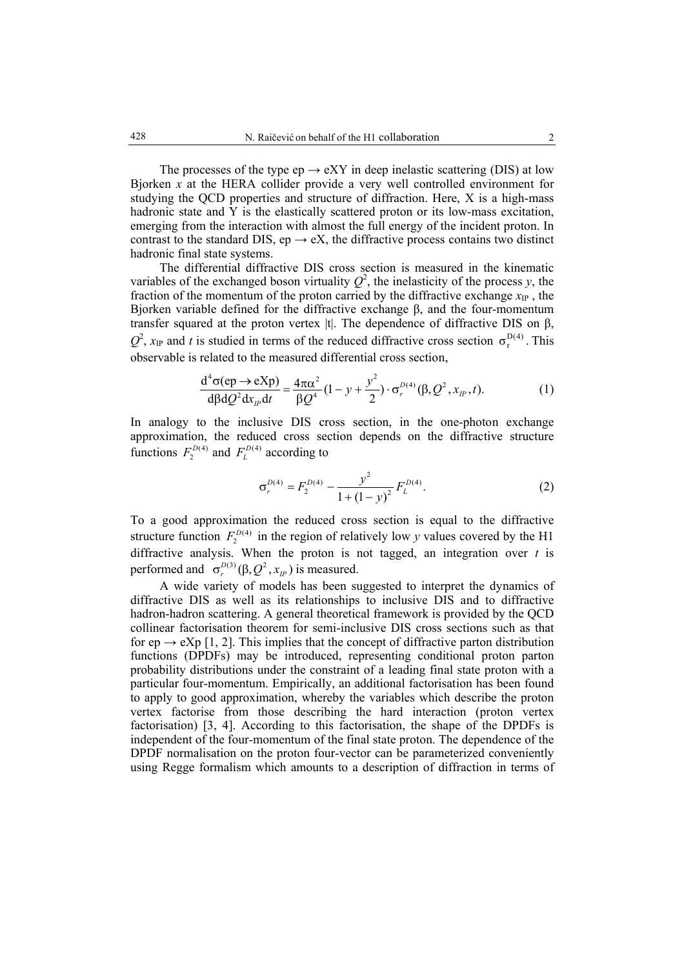The processes of the type  $ep \rightarrow eXY$  in deep inelastic scattering (DIS) at low Bjorken *x* at the HERA collider provide a very well controlled environment for studying the QCD properties and structure of diffraction. Here, X is a high-mass hadronic state and Y is the elastically scattered proton or its low-mass excitation, emerging from the interaction with almost the full energy of the incident proton. In contrast to the standard DIS, ep  $\rightarrow eX$ , the diffractive process contains two distinct hadronic final state systems.

 The differential diffractive DIS cross section is measured in the kinematic variables of the exchanged boson virtuality  $Q^2$ , the inelasticity of the process *y*, the fraction of the momentum of the proton carried by the diffractive exchange  $x_{IP}$ , the Bjorken variable defined for the diffractive exchange β, and the four-momentum transfer squared at the proton vertex  $|t|$ . The dependence of diffractive DIS on β,  $Q^2$ ,  $x_{IP}$  and *t* is studied in terms of the reduced diffractive cross section  $\sigma_r^{D(4)}$ . This observable is related to the measured differential cross section,

$$
\frac{\mathrm{d}^4 \sigma(\mathrm{ep} \to \mathrm{eXp})}{\mathrm{d}\beta \mathrm{d}Q^2 \mathrm{d}x_{\mu} \mathrm{d}t} = \frac{4\pi \alpha^2}{\beta Q^4} (1 - y + \frac{y^2}{2}) \cdot \sigma_r^{D(4)}(\beta, Q^2, x_{\mu}, t).
$$
 (1)

In analogy to the inclusive DIS cross section, in the one-photon exchange approximation, the reduced cross section depends on the diffractive structure functions  $F_2^{D(4)}$  and  $F_L^{D(4)}$  according to

$$
\sigma_r^{D(4)} = F_2^{D(4)} - \frac{y^2}{1 + (1 - y)^2} F_L^{D(4)}.
$$
 (2)

To a good approximation the reduced cross section is equal to the diffractive structure function  $F_2^{D(4)}$  in the region of relatively low *y* values covered by the H1 diffractive analysis. When the proton is not tagged, an integration over  $t$  is performed and  $\sigma_r^{D(3)}(\beta, Q^2, x_{IP})$  is measured.

A wide variety of models has been suggested to interpret the dynamics of diffractive DIS as well as its relationships to inclusive DIS and to diffractive hadron-hadron scattering. A general theoretical framework is provided by the QCD collinear factorisation theorem for semi-inclusive DIS cross sections such as that for ep  $\rightarrow$  eXp [1, 2]. This implies that the concept of diffractive parton distribution functions (DPDFs) may be introduced, representing conditional proton parton probability distributions under the constraint of a leading final state proton with a particular four-momentum. Empirically, an additional factorisation has been found to apply to good approximation, whereby the variables which describe the proton vertex factorise from those describing the hard interaction (proton vertex factorisation) [3, 4]. According to this factorisation, the shape of the DPDFs is independent of the four-momentum of the final state proton. The dependence of the DPDF normalisation on the proton four-vector can be parameterized conveniently using Regge formalism which amounts to a description of diffraction in terms of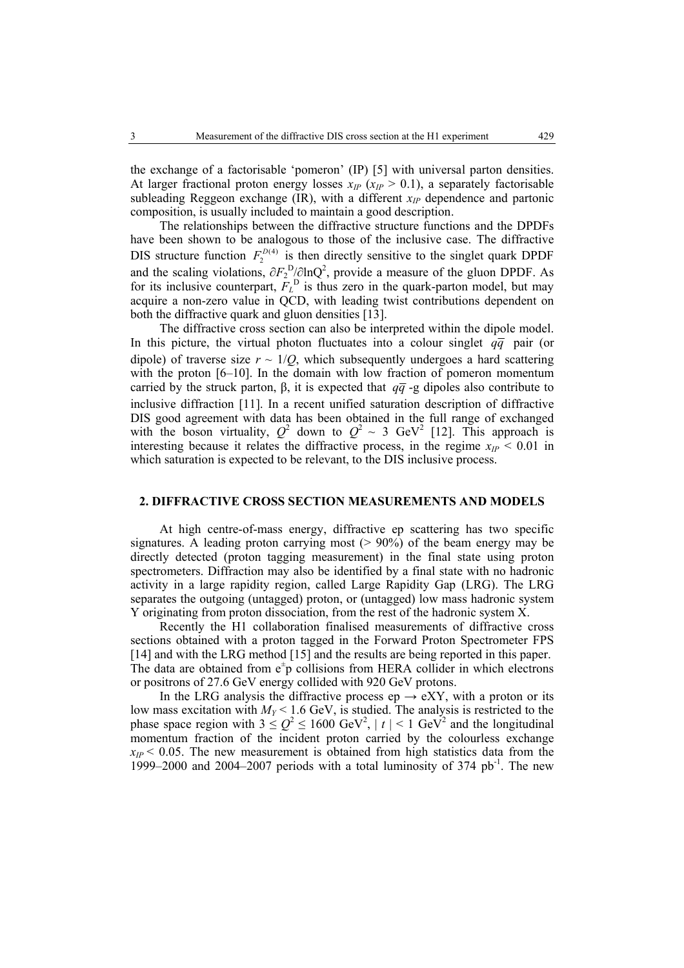the exchange of a factorisable 'pomeron' (IP) [5] with universal parton densities. At larger fractional proton energy losses  $x_{IP}$  ( $x_{IP} > 0.1$ ), a separately factorisable subleading Reggeon exchange  $(\overline{IR})$ , with a different  $x_{IP}$  dependence and partonic composition, is usually included to maintain a good description.

The relationships between the diffractive structure functions and the DPDFs have been shown to be analogous to those of the inclusive case. The diffractive DIS structure function  $F_2^{D(4)}$  is then directly sensitive to the singlet quark DPDF and the scaling violations,  $\partial F_2^D/\partial \ln Q^2$ , provide a measure of the gluon DPDF. As for its inclusive counterpart,  $F_L^D$  is thus zero in the quark-parton model, but may acquire a non-zero value in QCD, with leading twist contributions dependent on both the diffractive quark and gluon densities [13].

The diffractive cross section can also be interpreted within the dipole model. In this picture, the virtual photon fluctuates into a colour singlet  $q\bar{q}$  pair (or dipole) of traverse size  $r \sim 1/Q$ , which subsequently undergoes a hard scattering with the proton [6–10]. In the domain with low fraction of pomeron momentum carried by the struck parton,  $\beta$ , it is expected that  $q\bar{q}$  -g dipoles also contribute to inclusive diffraction [11]. In a recent unified saturation description of diffractive DIS good agreement with data has been obtained in the full range of exchanged with the boson virtuality,  $Q^2$  down to  $Q^2 \sim 3$  GeV<sup>2</sup> [12]. This approach is interesting because it relates the diffractive process, in the regime  $x_{IP} < 0.01$  in which saturation is expected to be relevant, to the DIS inclusive process.

## **2. DIFFRACTIVE CROSS SECTION MEASUREMENTS AND MODELS**

At high centre-of-mass energy, diffractive ep scattering has two specific signatures. A leading proton carrying most (> 90%) of the beam energy may be directly detected (proton tagging measurement) in the final state using proton spectrometers. Diffraction may also be identified by a final state with no hadronic activity in a large rapidity region, called Large Rapidity Gap (LRG). The LRG separates the outgoing (untagged) proton, or (untagged) low mass hadronic system Y originating from proton dissociation, from the rest of the hadronic system X.

Recently the H1 collaboration finalised measurements of diffractive cross sections obtained with a proton tagged in the Forward Proton Spectrometer FPS [14] and with the LRG method [15] and the results are being reported in this paper. The data are obtained from  $e^+p$  collisions from HERA collider in which electrons or positrons of 27.6 GeV energy collided with 920 GeV protons.

In the LRG analysis the diffractive process ep  $\rightarrow$  eXY, with a proton or its low mass excitation with  $M_Y < 1.6$  GeV, is studied. The analysis is restricted to the phase space region with  $3 \le Q^2 \le 1600 \text{ GeV}^2$ ,  $|t| < 1 \text{ GeV}^2$  and the longitudinal momentum fraction of the incident proton carried by the colourless exchange  $x_P < 0.05$ . The new measurement is obtained from high statistics data from the 1999–2000 and 2004–2007 periods with a total luminosity of  $374$  pb<sup>-1</sup>. The new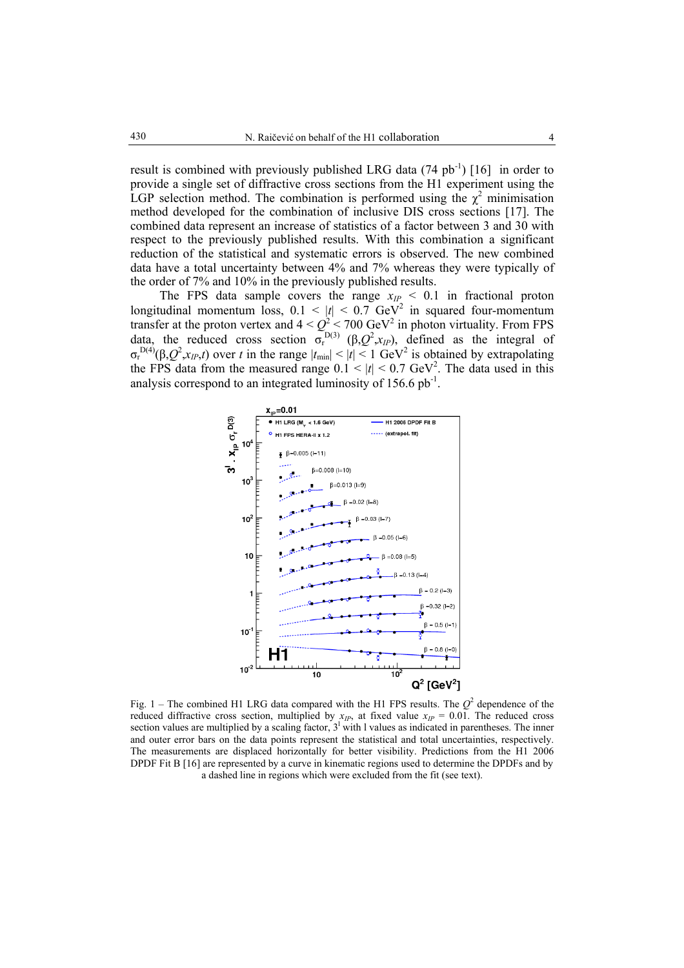result is combined with previously published LRG data  $(74 \text{ pb}^{-1})$  [16] in order to provide a single set of diffractive cross sections from the H1 experiment using the LGP selection method. The combination is performed using the  $\chi^2$  minimisation method developed for the combination of inclusive DIS cross sections [17]. The combined data represent an increase of statistics of a factor between 3 and 30 with respect to the previously published results. With this combination a significant reduction of the statistical and systematic errors is observed. The new combined data have a total uncertainty between 4% and 7% whereas they were typically of the order of 7% and 10% in the previously published results.

The FPS data sample covers the range  $x_{IP} < 0.1$  in fractional proton longitudinal momentum loss,  $0.1 \le |t| \le 0.7$  GeV<sup>2</sup> in squared four-momentum transfer at the proton vertex and  $4 < Q^2 < 700 \text{ GeV}^2$  in photon virtuality. From FPS data, the reduced cross section  $\sigma_{r}^{D(3)}$  ( $\beta$ , $Q^2$ , $x_{IP}$ ), defined as the integral of  $\sigma_r^{D(4)}(\beta, Q^2, x_{IP}, t)$  over *t* in the range  $|t_{min}| < |t| < 1$  GeV<sup>2</sup> is obtained by extrapolating the FPS data from the measured range  $0.1 \le |t| \le 0.7$  GeV<sup>2</sup>. The data used in this analysis correspond to an integrated luminosity of  $156.6$  pb<sup>-1</sup>.



Fig. 1 – The combined H1 LRG data compared with the H1 FPS results. The  $Q^2$  dependence of the reduced diffractive cross section, multiplied by  $x_{IP}$ , at fixed value  $x_{IP} = 0.01$ . The reduced cross section values are multiplied by a scaling factor,  $3<sup>1</sup>$  with 1 values as indicated in parentheses. The inner and outer error bars on the data points represent the statistical and total uncertainties, respectively. The measurements are displaced horizontally for better visibility. Predictions from the H1 2006 DPDF Fit B [16] are represented by a curve in kinematic regions used to determine the DPDFs and by a dashed line in regions which were excluded from the fit (see text).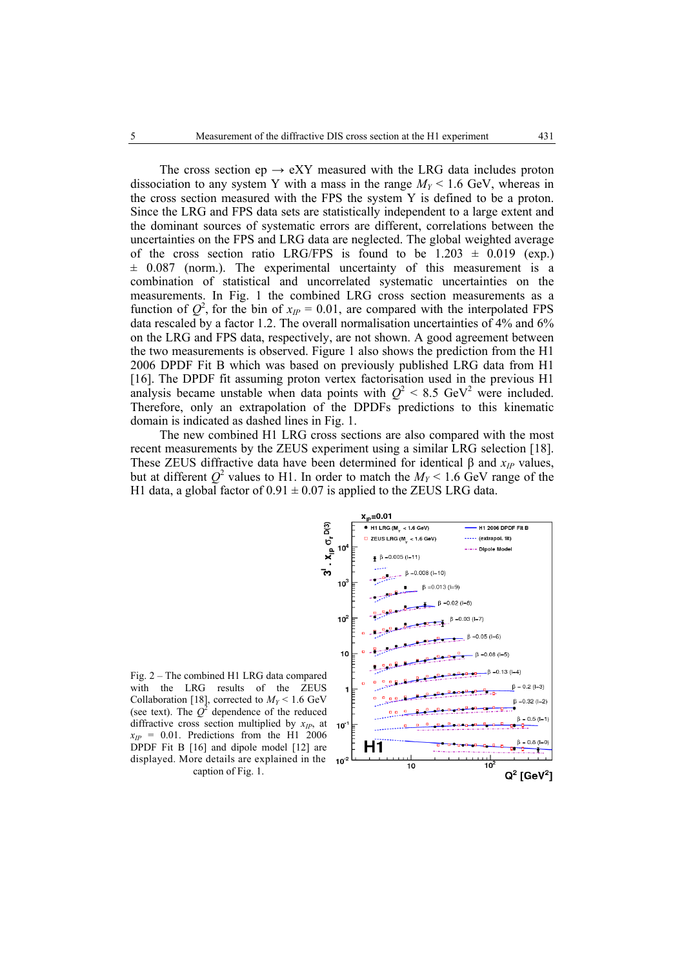The cross section ep  $\rightarrow$  eXY measured with the LRG data includes proton dissociation to any system Y with a mass in the range  $M_Y < 1.6$  GeV, whereas in the cross section measured with the FPS the system Y is defined to be a proton. Since the LRG and FPS data sets are statistically independent to a large extent and the dominant sources of systematic errors are different, correlations between the uncertainties on the FPS and LRG data are neglected. The global weighted average of the cross section ratio LRG/FPS is found to be  $1.203 \pm 0.019$  (exp.)  $\pm$  0.087 (norm.). The experimental uncertainty of this measurement is a combination of statistical and uncorrelated systematic uncertainties on the measurements. In Fig. 1 the combined LRG cross section measurements as a function of  $Q^2$ , for the bin of  $x_{IP} = 0.01$ , are compared with the interpolated FPS data rescaled by a factor 1.2. The overall normalisation uncertainties of 4% and 6% on the LRG and FPS data, respectively, are not shown. A good agreement between the two measurements is observed. Figure 1 also shows the prediction from the H1 2006 DPDF Fit B which was based on previously published LRG data from H1 [16]. The DPDF fit assuming proton vertex factorisation used in the previous H1 analysis became unstable when data points with  $Q^2 < 8.5$  GeV<sup>2</sup> were included. Therefore, only an extrapolation of the DPDFs predictions to this kinematic domain is indicated as dashed lines in Fig. 1.

The new combined H1 LRG cross sections are also compared with the most recent measurements by the ZEUS experiment using a similar LRG selection [18]. These ZEUS diffractive data have been determined for identical β and  $x<sub>IP</sub>$  values, but at different  $Q^2$  values to H1. In order to match the  $M_Y < 1.6$  GeV range of the H1 data, a global factor of  $0.91 \pm 0.07$  is applied to the ZEUS LRG data.



Fig. 2 – The combined H1 LRG data compared with the LRG results of the ZEUS Collaboration [18], corrected to  $M_Y < 1.6$  GeV (see text). The  $Q^2$  dependence of the reduced diffractive cross section multiplied by *xIP*, at  $x_{IP}$  = 0.01. Predictions from the H1 2006 DPDF Fit B [16] and dipole model [12] are displayed. More details are explained in the caption of Fig. 1.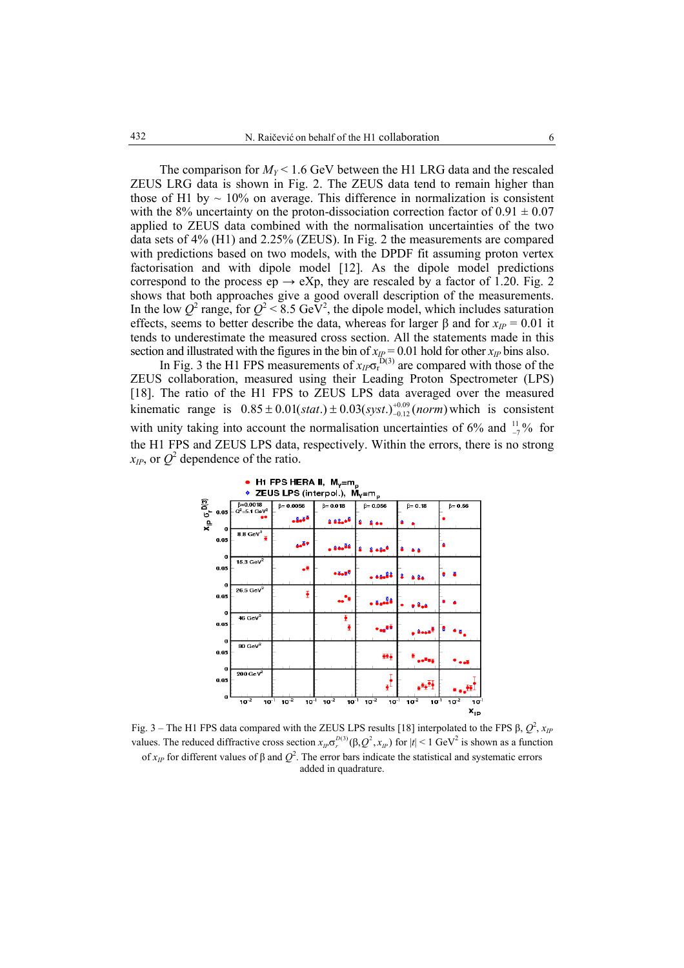The comparison for  $M_Y < 1.6$  GeV between the H1 LRG data and the rescaled ZEUS LRG data is shown in Fig. 2. The ZEUS data tend to remain higher than those of H1 by  $\sim 10\%$  on average. This difference in normalization is consistent with the 8% uncertainty on the proton-dissociation correction factor of  $0.91 \pm 0.07$ applied to ZEUS data combined with the normalisation uncertainties of the two data sets of 4% (H1) and 2.25% (ZEUS). In Fig. 2 the measurements are compared with predictions based on two models, with the DPDF fit assuming proton vertex factorisation and with dipole model [12]. As the dipole model predictions correspond to the process ep  $\rightarrow eXp$ , they are rescaled by a factor of 1.20. Fig. 2 shows that both approaches give a good overall description of the measurements. In the low  $Q^2$  range, for  $Q^2 < 8.5$  GeV<sup>2</sup>, the dipole model, which includes saturation effects, seems to better describe the data, whereas for larger  $\beta$  and for  $x_{IP} = 0.01$  it tends to underestimate the measured cross section. All the statements made in this section and illustrated with the figures in the bin of  $x_{IP} = 0.01$  hold for other  $x_{IP}$  bins also.

In Fig. 3 the H1 FPS measurements of  $x_{IP} \sigma_r^{\bar{D}(3)}$  are compared with those of the ZEUS collaboration, measured using their Leading Proton Spectrometer (LPS) [18]. The ratio of the H1 FPS to ZEUS LPS data averaged over the measured kinematic range is  $0.85 \pm 0.01(stat.) \pm 0.03(syst.)^{+0.09}_{-0.12}(norm)$  which is consistent with unity taking into account the normalisation uncertainties of 6% and  $\frac{11}{7}$ % for the H1 FPS and ZEUS LPS data, respectively. Within the errors, there is no strong  $x_{IP}$ , or  $Q^2$  dependence of the ratio.



Fig. 3 – The H1 FPS data compared with the ZEUS LPS results [18] interpolated to the FPS  $\beta$ ,  $Q^2$ ,  $x_{IP}$ values. The reduced diffractive cross section  $x_{IP}\sigma_r^{D(3)}(\beta, Q^2, x_{IP})$  for  $|t| \le 1$  GeV<sup>2</sup> is shown as a function of  $x_{IP}$  for different values of β and  $Q^2$ . The error bars indicate the statistical and systematic errors added in quadrature.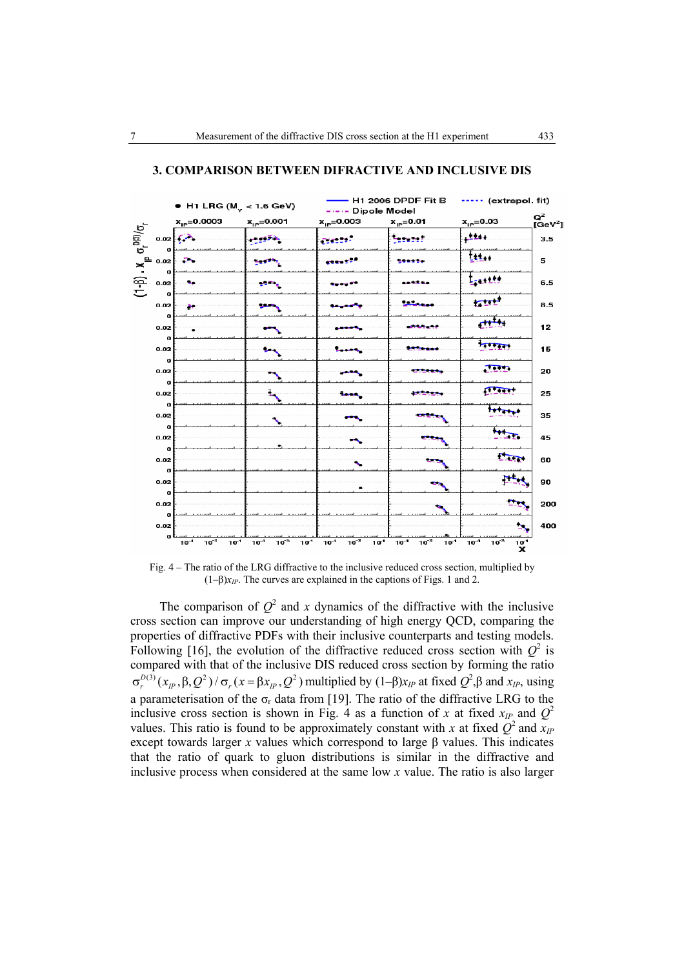

#### **3. COMPARISON BETWEEN DIFRACTIVE AND INCLUSIVE DIS**

Fig. 4 – The ratio of the LRG diffractive to the inclusive reduced cross section, multiplied by  $(1-\beta)x_{IP}$ . The curves are explained in the captions of Figs. 1 and 2.

The comparison of  $Q^2$  and *x* dynamics of the diffractive with the inclusive cross section can improve our understanding of high energy QCD, comparing the properties of diffractive PDFs with their inclusive counterparts and testing models. Following [16], the evolution of the diffractive reduced cross section with  $Q^2$  is compared with that of the inclusive DIS reduced cross section by forming the ratio  $\sigma_r^{D(3)}(x_p, \beta, Q^2) / \sigma_r(x = \beta x_p, Q^2)$  multiplied by  $(1-\beta)x_{IP}$  at fixed  $Q^2, \beta$  and  $x_{IP}$ , using a parameterisation of the  $\sigma_r$  data from [19]. The ratio of the diffractive LRG to the inclusive cross section is shown in Fig. 4 as a function of *x* at fixed  $x_{IP}$  and  $Q^2$ values. This ratio is found to be approximately constant with *x* at fixed  $Q^2$  and  $x_{IP}$ except towards larger *x* values which correspond to large  $\beta$  values. This indicates that the ratio of quark to gluon distributions is similar in the diffractive and inclusive process when considered at the same low *x* value. The ratio is also larger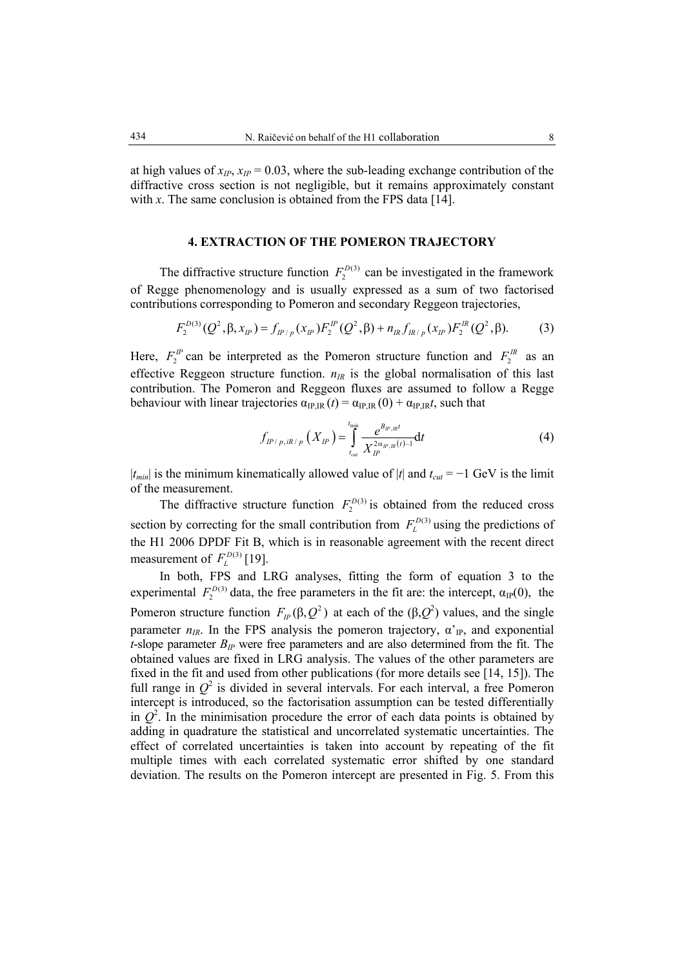at high values of  $x_{IP}$ ,  $x_{IP}$  = 0.03, where the sub-leading exchange contribution of the diffractive cross section is not negligible, but it remains approximately constant

with  $x$ . The same conclusion is obtained from the FPS data [14].

#### **4. EXTRACTION OF THE POMERON TRAJECTORY**

The diffractive structure function  $F_2^{D(3)}$  can be investigated in the framework of Regge phenomenology and is usually expressed as a sum of two factorised contributions corresponding to Pomeron and secondary Reggeon trajectories,

$$
F_2^{D(3)}(Q^2, \beta, x_{IP}) = f_{IP/p}(x_{IP}) F_2^{IP}(Q^2, \beta) + n_{IR} f_{IR/p}(x_{IP}) F_2^{IR}(Q^2, \beta).
$$
 (3)

Here,  $F_2^P$  can be interpreted as the Pomeron structure function and  $F_2^R$  as an effective Reggeon structure function.  $n_{IR}$  is the global normalisation of this last contribution. The Pomeron and Reggeon fluxes are assumed to follow a Regge behaviour with linear trajectories  $\alpha_{IPIR}(t) = \alpha_{IPIR}(0) + \alpha_{IPIR}t$ , such that

$$
f_{IP/p, iR/p} (X_{IP}) = \int_{t_{cal}}^{t_{\min}} \frac{e^{B_{IP, IR}t}}{X_{IP}^{2\alpha_{IP, IR}(t)-1}} dt
$$
 (4)

 $|t_{min}|$  is the minimum kinematically allowed value of  $|t|$  and  $t_{cut} = -1$  GeV is the limit of the measurement.

The diffractive structure function  $F_2^{D(3)}$  is obtained from the reduced cross section by correcting for the small contribution from  $F_L^{D(3)}$  using the predictions of the H1 2006 DPDF Fit B, which is in reasonable agreement with the recent direct measurement of  $F_L^{D(3)}$  [19].

In both, FPS and LRG analyses, fitting the form of equation 3 to the experimental  $F_2^{D(3)}$  data, the free parameters in the fit are: the intercept,  $\alpha_{\text{IP}}(0)$ , the Pomeron structure function  $F_{IP}(\beta, Q^2)$  at each of the  $(\beta, Q^2)$  values, and the single parameter  $n_{IR}$ . In the FPS analysis the pomeron trajectory,  $\alpha'_{IP}$ , and exponential  $t$ -slope parameter  $B_{IP}$  were free parameters and are also determined from the fit. The obtained values are fixed in LRG analysis. The values of the other parameters are fixed in the fit and used from other publications (for more details see [14, 15]). The full range in  $Q^2$  is divided in several intervals. For each interval, a free Pomeron intercept is introduced, so the factorisation assumption can be tested differentially in  $Q^2$ . In the minimisation procedure the error of each data points is obtained by adding in quadrature the statistical and uncorrelated systematic uncertainties. The effect of correlated uncertainties is taken into account by repeating of the fit multiple times with each correlated systematic error shifted by one standard deviation. The results on the Pomeron intercept are presented in Fig. 5. From this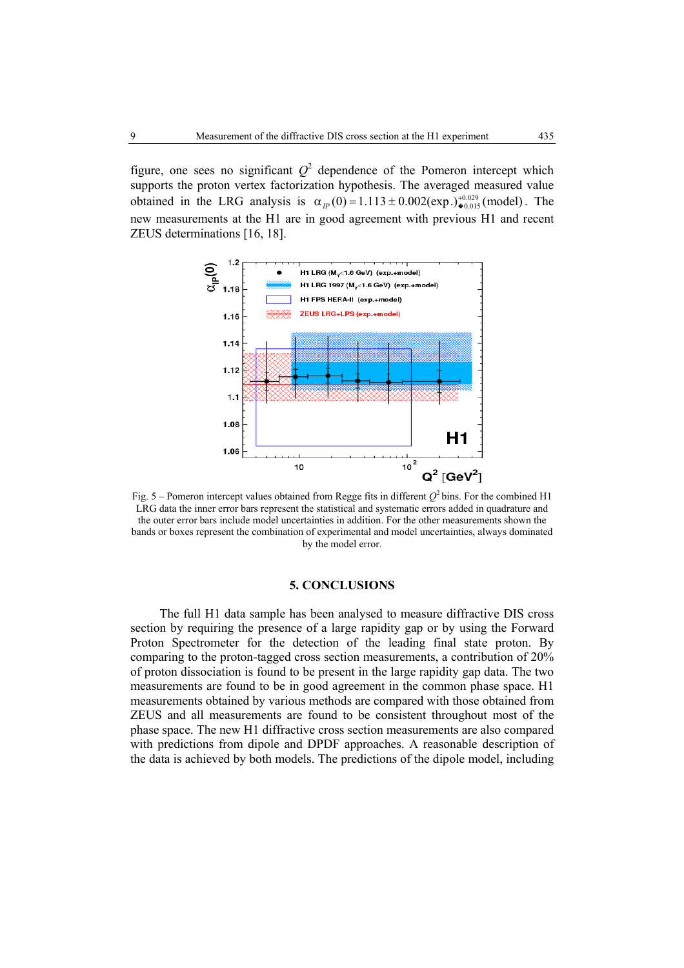figure, one sees no significant  $Q^2$  dependence of the Pomeron intercept which supports the proton vertex factorization hypothesis. The averaged measured value obtained in the LRG analysis is  $\alpha_{IP}(0) = 1.113 \pm 0.002 \text{(exp.)}^{+0.029}_{\bullet 0.015} \text{(model)}$ . The new measurements at the H1 are in good agreement with previous H1 and recent ZEUS determinations [16, 18].



Fig. 5 – Pomeron intercept values obtained from Regge fits in different  $Q^2$  bins. For the combined H1 LRG data the inner error bars represent the statistical and systematic errors added in quadrature and the outer error bars include model uncertainties in addition. For the other measurements shown the bands or boxes represent the combination of experimental and model uncertainties, always dominated by the model error.

# **5. CONCLUSIONS**

The full H1 data sample has been analysed to measure diffractive DIS cross section by requiring the presence of a large rapidity gap or by using the Forward Proton Spectrometer for the detection of the leading final state proton. By comparing to the proton-tagged cross section measurements, a contribution of 20% of proton dissociation is found to be present in the large rapidity gap data. The two measurements are found to be in good agreement in the common phase space. H1 measurements obtained by various methods are compared with those obtained from ZEUS and all measurements are found to be consistent throughout most of the phase space. The new H1 diffractive cross section measurements are also compared with predictions from dipole and DPDF approaches. A reasonable description of the data is achieved by both models. The predictions of the dipole model, including